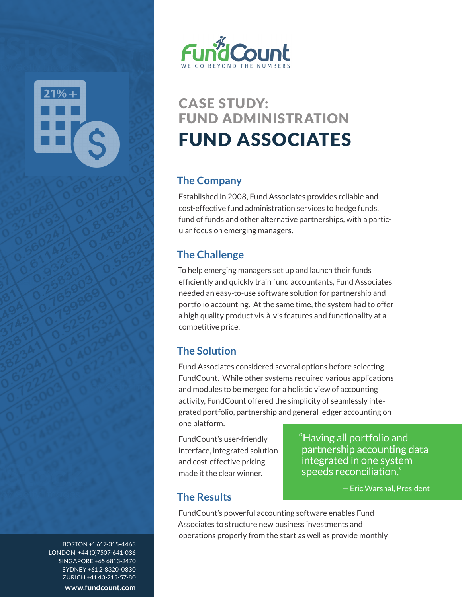



# CASE STUDY: FUND ADMINISTRATION FUND ASSOCIATES

#### **The Company**

Established in 2008, Fund Associates provides reliable and cost-effective fund administration services to hedge funds, fund of funds and other alternative partnerships, with a particular focus on emerging managers.

### **The Challenge**

To help emerging managers set up and launch their funds efficiently and quickly train fund accountants, Fund Associates needed an easy-to-use software solution for partnership and portfolio accounting. At the same time, the system had to offer a high quality product vis-à-vis features and functionality at a competitive price.

## **The Solution**

Fund Associates considered several options before selecting FundCount. While other systems required various applications and modules to be merged for a holistic view of accounting activity, FundCount offered the simplicity of seamlessly integrated portfolio, partnership and general ledger accounting on one platform.

FundCount's user-friendly interface, integrated solution and cost-effective pricing made it the clear winner.

"Having all portfolio and partnership accounting data integrated in one system speeds reconciliation."

—Eric Warshal, President

#### **The Results**

FundCount's powerful accounting software enables Fund Associates to structure new business investments and operations properly from the start as well as provide monthly

BOSTON +1 617-315-4463 LONDON +44 (0)7507-641-036 SINGAPORE +65 6813-2470 SYDNEY +61 2-8320-0830 ZURICH +41 43-215-57-80 **www.fundcount.com**